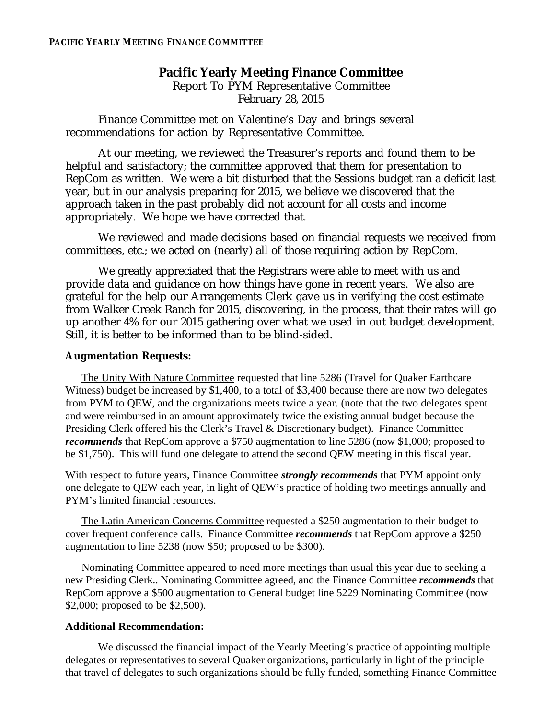# **Pacific Yearly Meeting Finance Committee**

Report To PYM Representative Committee February 28, 2015

Finance Committee met on Valentine's Day and brings several recommendations for action by Representative Committee.

At our meeting, we reviewed the Treasurer's reports and found them to be helpful and satisfactory; the committee approved that them for presentation to RepCom as written. We were a bit disturbed that the Sessions budget ran a deficit last year, but in our analysis preparing for 2015, we believe we discovered that the approach taken in the past probably did not account for all costs and income appropriately. We hope we have corrected that.

We reviewed and made decisions based on financial requests we received from committees, etc.; we acted on (nearly) all of those requiring action by RepCom.

We greatly appreciated that the Registrars were able to meet with us and provide data and guidance on how things have gone in recent years. We also are grateful for the help our Arrangements Clerk gave us in verifying the cost estimate from Walker Creek Ranch for 2015, discovering, in the process, that their rates will go up another 4% for our 2015 gathering over what we used in out budget development. Still, it is better to be informed than to be blind-sided.

## **Augmentation Requests:**

The Unity With Nature Committee requested that line 5286 (Travel for Quaker Earthcare Witness) budget be increased by \$1,400, to a total of \$3,400 because there are now two delegates from PYM to QEW, and the organizations meets twice a year. (note that the two delegates spent and were reimbursed in an amount approximately twice the existing annual budget because the Presiding Clerk offered his the Clerk's Travel & Discretionary budget). Finance Committee *recommends* that RepCom approve a \$750 augmentation to line 5286 (now \$1,000; proposed to be \$1,750). This will fund one delegate to attend the second QEW meeting in this fiscal year.

With respect to future years, Finance Committee *strongly recommends* that PYM appoint only one delegate to QEW each year, in light of QEW's practice of holding two meetings annually and PYM's limited financial resources.

The Latin American Concerns Committee requested a \$250 augmentation to their budget to cover frequent conference calls. Finance Committee *recommends* that RepCom approve a \$250 augmentation to line 5238 (now \$50; proposed to be \$300).

Nominating Committee appeared to need more meetings than usual this year due to seeking a new Presiding Clerk.. Nominating Committee agreed, and the Finance Committee *recommends* that RepCom approve a \$500 augmentation to General budget line 5229 Nominating Committee (now \$2,000; proposed to be \$2,500).

### **Additional Recommendation:**

We discussed the financial impact of the Yearly Meeting's practice of appointing multiple delegates or representatives to several Quaker organizations, particularly in light of the principle that travel of delegates to such organizations should be fully funded, something Finance Committee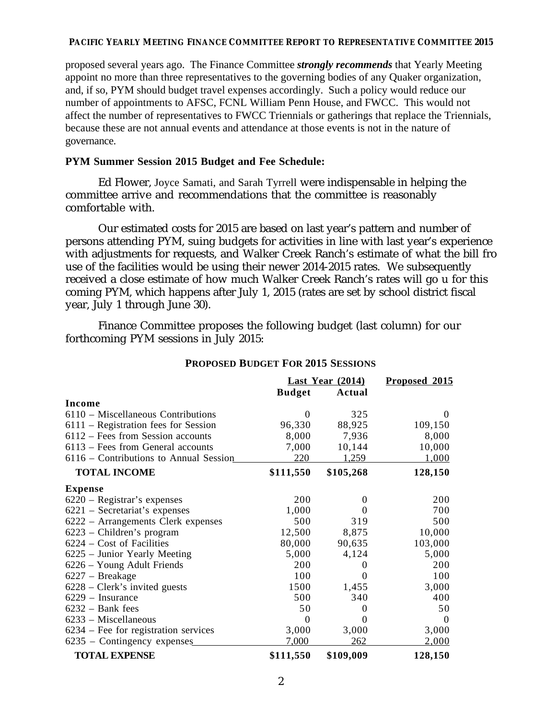#### **PACIFIC YEARLY MEETING FINANCE COMMITTEE REPORT TO REPRESENTATIVE COMMITTEE 2015**

proposed several years ago. The Finance Committee *strongly recommends* that Yearly Meeting appoint no more than three representatives to the governing bodies of any Quaker organization, and, if so, PYM should budget travel expenses accordingly. Such a policy would reduce our number of appointments to AFSC, FCNL William Penn House, and FWCC. This would not affect the number of representatives to FWCC Triennials or gatherings that replace the Triennials, because these are not annual events and attendance at those events is not in the nature of governance.

# **PYM Summer Session 2015 Budget and Fee Schedule:**

Ed Flower, Joyce Samati, and Sarah Tyrrell were indispensable in helping the committee arrive and recommendations that the committee is reasonably comfortable with.

Our estimated costs for 2015 are based on last year's pattern and number of persons attending PYM, suing budgets for activities in line with last year's experience with adjustments for requests, and Walker Creek Ranch's estimate of what the bill fro use of the facilities would be using their newer 2014-2015 rates. We subsequently received a close estimate of how much Walker Creek Ranch's rates will go u for this coming PYM, which happens after July 1, 2015 (rates are set by school district fiscal year, July 1 through June 30).

Finance Committee proposes the following budget (last column) for our forthcoming PYM sessions in July 2015:

|                                        | Last Year $(2014)$ |           | Proposed 2015 |
|----------------------------------------|--------------------|-----------|---------------|
|                                        | <b>Budget</b>      | Actual    |               |
| Income                                 |                    |           |               |
| $6110$ – Miscellaneous Contributions   | $\Omega$           | 325       | $\theta$      |
| $6111$ – Registration fees for Session | 96,330             | 88,925    | 109,150       |
| $6112$ – Fees from Session accounts    | 8,000              | 7,936     | 8,000         |
| $6113$ – Fees from General accounts    | 7,000              | 10,144    | 10,000        |
| 6116 – Contributions to Annual Session | 220                | 1,259     | 1,000         |
| <b>TOTAL INCOME</b>                    | \$111,550          | \$105,268 | 128,150       |
| <b>Expense</b>                         |                    |           |               |
| $6220$ – Registrar's expenses          | 200                | $\Omega$  | 200           |
| $6221$ – Secretariat's expenses        | 1,000              | $\Omega$  | 700           |
| 6222 – Arrangements Clerk expenses     | 500                | 319       | 500           |
| 6223 - Children's program              | 12,500             | 8,875     | 10,000        |
| 6224 – Cost of Facilities              | 80,000             | 90,635    | 103,000       |
| 6225 – Junior Yearly Meeting           | 5,000              | 4,124     | 5,000         |
| 6226 – Young Adult Friends             | 200                | $\Omega$  | 200           |
| $6227 -$ Breakage                      | 100                | $\Omega$  | 100           |
| $6228$ – Clerk's invited guests        | 1500               | 1,455     | 3,000         |
| 6229 - Insurance                       | 500                | 340       | 400           |
| $6232 - Bank fees$                     | 50                 | $\Omega$  | 50            |
| $6233$ – Miscellaneous                 | $\theta$           | $\theta$  | $\theta$      |
| $6234$ – Fee for registration services | 3,000              | 3,000     | 3,000         |
| 6235 – Contingency expenses            | 7,000              | 262       | 2,000         |
| <b>TOTAL EXPENSE</b>                   | \$111,550          | \$109,009 | 128,150       |

### **PROPOSED BUDGET FOR 2015 SESSIONS**